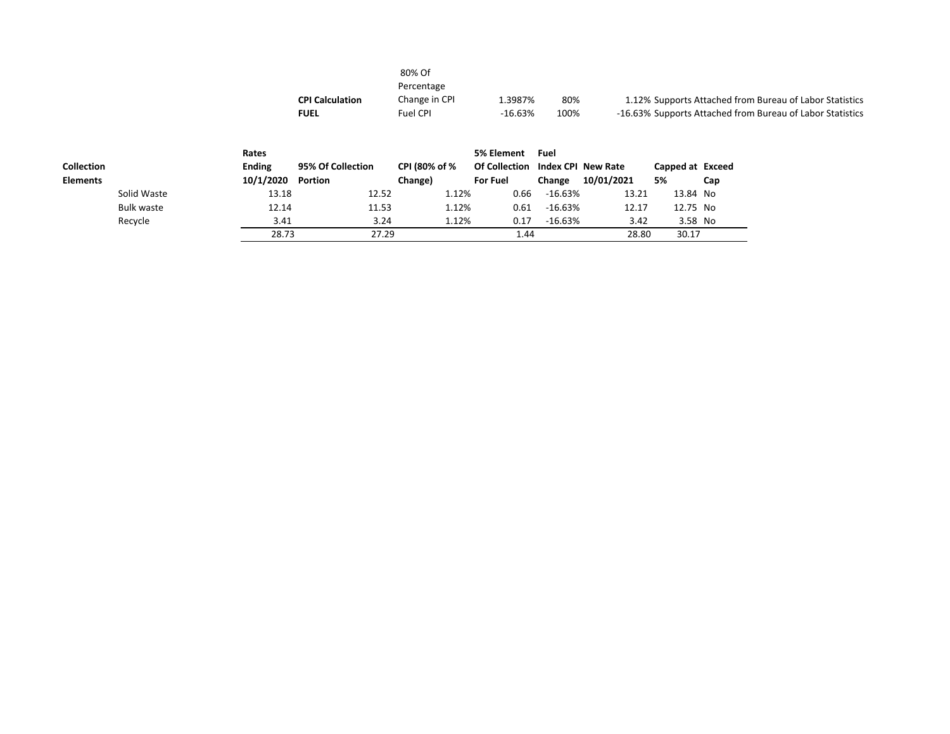|                   |                   |                   | <b>CPI Calculation</b><br><b>FUEL</b> | 80% Of<br>Percentage<br>Change in CPI<br>Fuel CPI | 1.3987%<br>$-16.63%$ | 80%<br>100%        |            |                  | 1.12% Supports Attached from Bureau of Labor Statistics<br>-16.63% Supports Attached from Bureau of Labor Statistics |
|-------------------|-------------------|-------------------|---------------------------------------|---------------------------------------------------|----------------------|--------------------|------------|------------------|----------------------------------------------------------------------------------------------------------------------|
|                   |                   | Rates             |                                       |                                                   | 5% Element           | Fuel               |            |                  |                                                                                                                      |
| <b>Collection</b> |                   | <b>Ending</b>     | 95% Of Collection                     | CPI (80% of %                                     | <b>Of Collection</b> | Index CPI New Rate |            | Capped at Exceed |                                                                                                                      |
| <b>Elements</b>   |                   | 10/1/2020 Portion |                                       | Change)                                           | <b>For Fuel</b>      | Change             | 10/01/2021 | 5%               | Cap                                                                                                                  |
|                   | Solid Waste       | 13.18             | 12.52                                 | 1.12%                                             | 0.66                 | $-16.63%$          | 13.21      | 13.84 No         |                                                                                                                      |
|                   | <b>Bulk waste</b> | 12.14             | 11.53                                 | 1.12%                                             | 0.61                 | $-16.63%$          | 12.17      | 12.75 No         |                                                                                                                      |
|                   | Recycle           | 3.41              | 3.24                                  | 1.12%                                             | 0.17                 | -16.63%            | 3.42       | 3.58 No          |                                                                                                                      |

28.73 27.29 1.44 28.80 30.17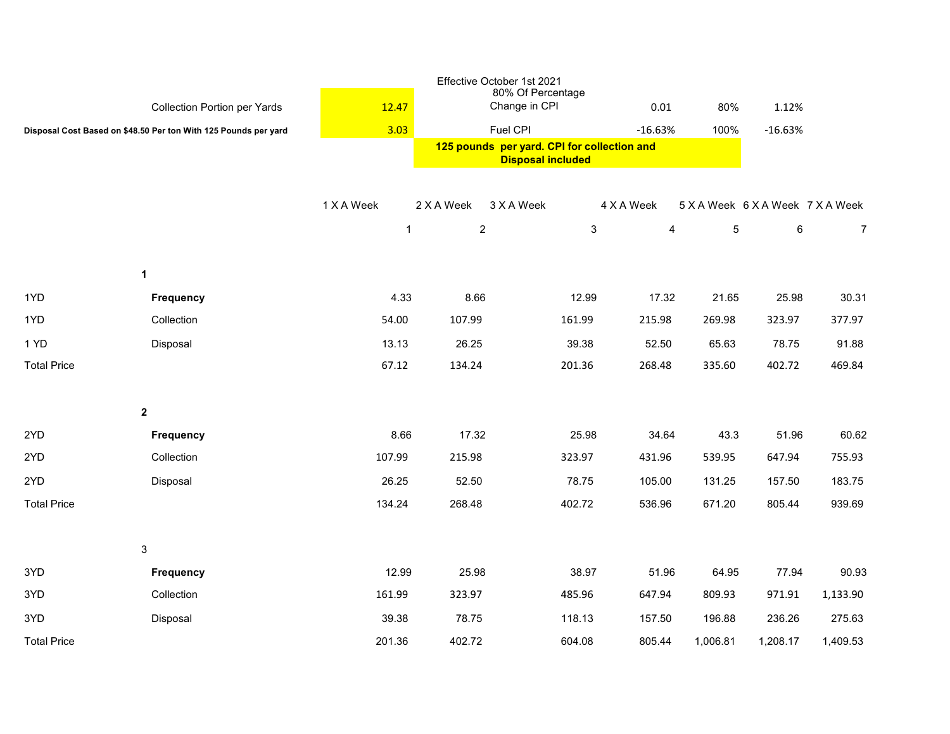|                    |                                                                 |              |                | Effective October 1st 2021<br>80% Of Percentage                         |                |          |                                  |                |
|--------------------|-----------------------------------------------------------------|--------------|----------------|-------------------------------------------------------------------------|----------------|----------|----------------------------------|----------------|
|                    | <b>Collection Portion per Yards</b>                             | 12.47        |                | Change in CPI                                                           | 0.01           | 80%      | 1.12%                            |                |
|                    | Disposal Cost Based on \$48.50 Per ton With 125 Pounds per yard | 3.03         |                | Fuel CPI                                                                | $-16.63%$      | 100%     | $-16.63%$                        |                |
|                    |                                                                 |              |                | 125 pounds per yard. CPI for collection and<br><b>Disposal included</b> |                |          |                                  |                |
|                    |                                                                 |              |                |                                                                         |                |          |                                  |                |
|                    |                                                                 | 1 X A Week   | 2 X A Week     | 3 X A Week                                                              | 4 X A Week     |          | 5 X A Week 6 X A Week 7 X A Week |                |
|                    |                                                                 | $\mathbf{1}$ | $\overline{c}$ | $\mathbf{3}$                                                            | $\overline{4}$ | 5        | 6                                | $\overline{7}$ |
|                    | 1                                                               |              |                |                                                                         |                |          |                                  |                |
| 1YD                | Frequency                                                       | 4.33         | 8.66           | 12.99                                                                   | 17.32          | 21.65    | 25.98                            | 30.31          |
| 1YD                | Collection                                                      | 54.00        | 107.99         | 161.99                                                                  | 215.98         | 269.98   | 323.97                           | 377.97         |
| 1 YD               | Disposal                                                        | 13.13        | 26.25          | 39.38                                                                   | 52.50          | 65.63    | 78.75                            | 91.88          |
| <b>Total Price</b> |                                                                 | 67.12        | 134.24         | 201.36                                                                  | 268.48         | 335.60   | 402.72                           | 469.84         |
|                    |                                                                 |              |                |                                                                         |                |          |                                  |                |
|                    | $\mathbf{2}$                                                    |              |                |                                                                         |                |          |                                  |                |
| 2YD                | Frequency                                                       | 8.66         | 17.32          | 25.98                                                                   | 34.64          | 43.3     | 51.96                            | 60.62          |
| 2YD                | Collection                                                      | 107.99       | 215.98         | 323.97                                                                  | 431.96         | 539.95   | 647.94                           | 755.93         |
| 2YD                | Disposal                                                        | 26.25        | 52.50          | 78.75                                                                   | 105.00         | 131.25   | 157.50                           | 183.75         |
| <b>Total Price</b> |                                                                 | 134.24       | 268.48         | 402.72                                                                  | 536.96         | 671.20   | 805.44                           | 939.69         |
|                    |                                                                 |              |                |                                                                         |                |          |                                  |                |
|                    | 3                                                               |              |                |                                                                         |                |          |                                  |                |
| 3YD                | Frequency                                                       | 12.99        | 25.98          | 38.97                                                                   | 51.96          | 64.95    | 77.94                            | 90.93          |
| 3YD                | Collection                                                      | 161.99       | 323.97         | 485.96                                                                  | 647.94         | 809.93   | 971.91                           | 1,133.90       |
| 3YD                | Disposal                                                        | 39.38        | 78.75          | 118.13                                                                  | 157.50         | 196.88   | 236.26                           | 275.63         |
| <b>Total Price</b> |                                                                 | 201.36       | 402.72         | 604.08                                                                  | 805.44         | 1,006.81 | 1,208.17                         | 1,409.53       |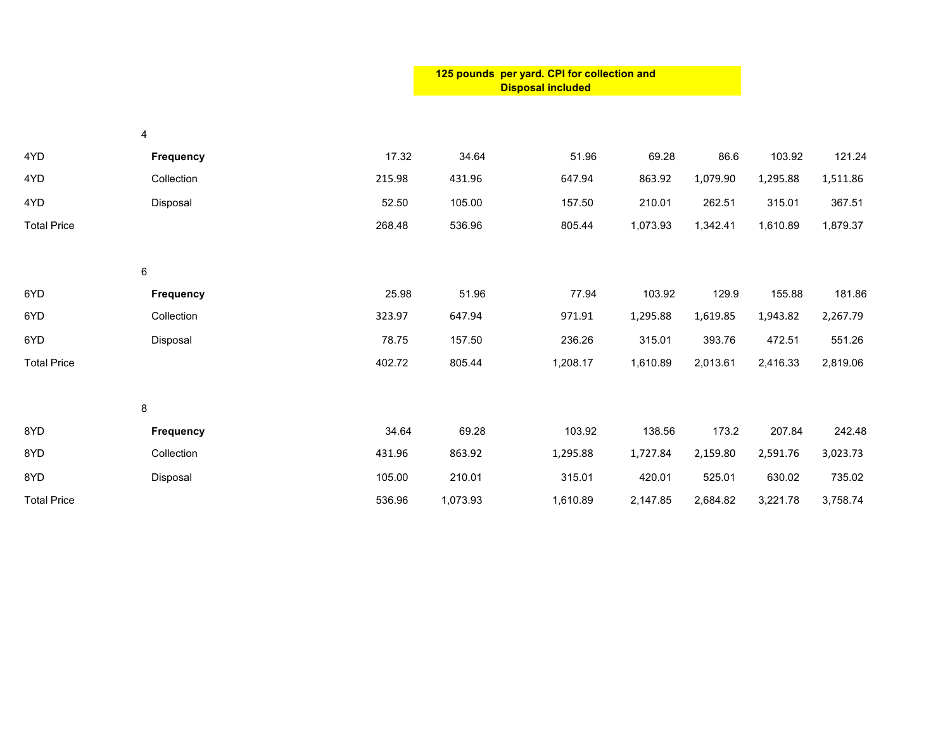|                    |                  |        | 125 pounds per yard. CPI for collection and<br><b>Disposal included</b> |          |          |          |          |          |
|--------------------|------------------|--------|-------------------------------------------------------------------------|----------|----------|----------|----------|----------|
|                    | $\overline{4}$   |        |                                                                         |          |          |          |          |          |
| 4YD                | Frequency        | 17.32  | 34.64                                                                   | 51.96    | 69.28    | 86.6     | 103.92   | 121.24   |
| 4YD                | Collection       | 215.98 | 431.96                                                                  | 647.94   | 863.92   | 1,079.90 | 1,295.88 | 1,511.86 |
| 4YD                | Disposal         | 52.50  | 105.00                                                                  | 157.50   | 210.01   | 262.51   | 315.01   | 367.51   |
| <b>Total Price</b> |                  | 268.48 | 536.96                                                                  | 805.44   | 1,073.93 | 1,342.41 | 1,610.89 | 1,879.37 |
|                    | $\,6\,$          |        |                                                                         |          |          |          |          |          |
| 6YD                | Frequency        | 25.98  | 51.96                                                                   | 77.94    | 103.92   | 129.9    | 155.88   | 181.86   |
| 6YD                | Collection       | 323.97 | 647.94                                                                  | 971.91   | 1,295.88 | 1,619.85 | 1,943.82 | 2,267.79 |
| 6YD                | Disposal         | 78.75  | 157.50                                                                  | 236.26   | 315.01   | 393.76   | 472.51   | 551.26   |
| <b>Total Price</b> |                  | 402.72 | 805.44                                                                  | 1,208.17 | 1,610.89 | 2,013.61 | 2,416.33 | 2,819.06 |
|                    | 8                |        |                                                                         |          |          |          |          |          |
| 8YD                | <b>Frequency</b> | 34.64  | 69.28                                                                   | 103.92   | 138.56   | 173.2    | 207.84   | 242.48   |
| 8YD                | Collection       | 431.96 | 863.92                                                                  | 1,295.88 | 1,727.84 | 2,159.80 | 2,591.76 | 3,023.73 |
| 8YD                | Disposal         | 105.00 | 210.01                                                                  | 315.01   | 420.01   | 525.01   | 630.02   | 735.02   |
| <b>Total Price</b> |                  | 536.96 | 1,073.93                                                                | 1,610.89 | 2,147.85 | 2,684.82 | 3,221.78 | 3,758.74 |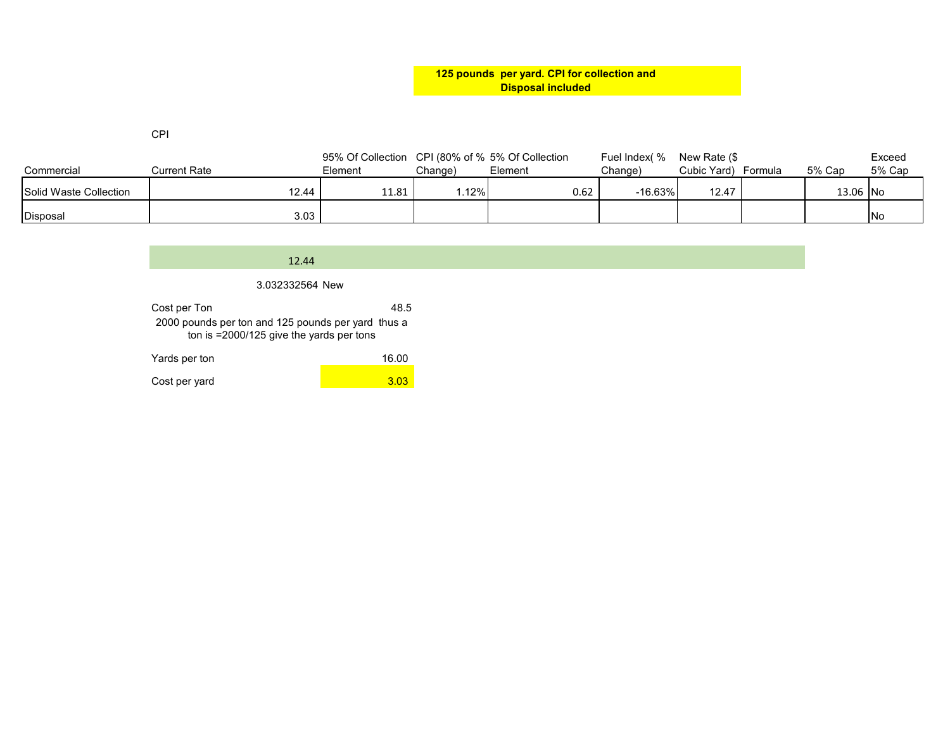**125 pounds per yard. CPI for collection and Disposal included**

CPI

|                        |              | 95% Of Collection CPI (80% of % 5% Of Collection |         |         | Fuel Index( % | New Rate (\$ |         |          | Exceed     |
|------------------------|--------------|--------------------------------------------------|---------|---------|---------------|--------------|---------|----------|------------|
| Commercial             | Current Rate | Element                                          | Change) | Element | Chanɑe)       | Cubic Yard)  | Formula | 5% Cap   | 5% Cap     |
| Solid Waste Collection | 12.44        | 11.81                                            | .12%    | 0.62    | $-16.63%$     | 12.47        |         | 13.06 No |            |
| Disposal               | 3.03         |                                                  |         |         |               |              |         |          | <b>INo</b> |

## 12.44

## 3.032332564 New

| Cost per Ton                                       | 48.5 |  |
|----------------------------------------------------|------|--|
| 2000 pounds per ton and 125 pounds per yard thus a |      |  |
| ton is $=$ 2000/125 give the yards per tons        |      |  |

| Yards per ton | 16.00 |
|---------------|-------|
| Cost per yard | 3.03  |